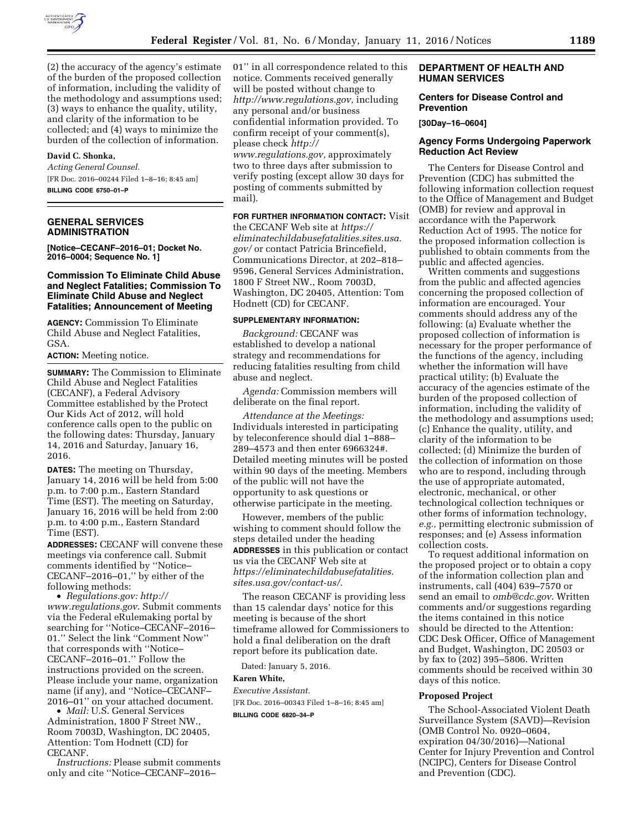

(2) the accuracy of the agency's estimate of the burden of the proposed collection of information, including the validity of the methodology and assumptions used; (3) ways to enhance the quality, utility, and clarity of the information to be collected; and (4) ways to minimize the burden of the collection of information.

## **David C. Shonka,**

*Acting General Counsel.*  [FR Doc. 2016–00244 Filed 1–8–16; 8:45 am] **BILLING CODE 6750–01–P** 

#### **GENERAL SERVICES ADMINISTRATION**

**[Notice–CECANF–2016–01; Docket No. 2016–0004; Sequence No. 1]** 

## **Commission To Eliminate Child Abuse and Neglect Fatalities; Commission To Eliminate Child Abuse and Neglect Fatalities; Announcement of Meeting**

**AGENCY:** Commission To Eliminate Child Abuse and Neglect Fatalities, GSA.

# **ACTION:** Meeting notice.

**SUMMARY:** The Commission to Eliminate Child Abuse and Neglect Fatalities (CECANF), a Federal Advisory Committee established by the Protect Our Kids Act of 2012, will hold conference calls open to the public on the following dates: Thursday, January 14, 2016 and Saturday, January 16, 2016.

**DATES:** The meeting on Thursday, January 14, 2016 will be held from 5:00 p.m. to 7:00 p.m., Eastern Standard Time (EST). The meeting on Saturday, January 16, 2016 will be held from 2:00 p.m. to 4:00 p.m., Eastern Standard Time (EST).

**ADDRESSES:** CECANF will convene these meetings via conference call. Submit comments identified by ''Notice– CECANF–2016–01,'' by either of the following methods:

• *Regulations.gov: [http://](http://www.regulations.gov)  [www.regulations.gov](http://www.regulations.gov)*. Submit comments via the Federal eRulemaking portal by searching for ''Notice–CECANF–2016– 01.'' Select the link ''Comment Now'' that corresponds with ''Notice– CECANF–2016–01.'' Follow the instructions provided on the screen. Please include your name, organization name (if any), and ''Notice–CECANF– 2016–01'' on your attached document.

• *Mail:* U.S. General Services Administration, 1800 F Street NW., Room 7003D, Washington, DC 20405, Attention: Tom Hodnett (CD) for CECANF.

*Instructions:* Please submit comments only and cite ''Notice–CECANF–2016–

01'' in all correspondence related to this notice. Comments received generally will be posted without change to *[http://www.regulations.gov,](http://www.regulations.gov)* including any personal and/or business confidential information provided. To confirm receipt of your comment(s), please check *[http://](http://www.regulations.gov) [www.regulations.gov,](http://www.regulations.gov)* approximately two to three days after submission to verify posting (except allow 30 days for posting of comments submitted by mail).

## **FOR FURTHER INFORMATION CONTACT:** Visit

the CECANF Web site at *[https://](https://eliminatechildabusefatalities.sites.usa.gov/) [eliminatechildabusefatalities.sites.usa.](https://eliminatechildabusefatalities.sites.usa.gov/) [gov/](https://eliminatechildabusefatalities.sites.usa.gov/)* or contact Patricia Brincefield, Communications Director, at 202–818– 9596, General Services Administration, 1800 F Street NW., Room 7003D, Washington, DC 20405, Attention: Tom Hodnett (CD) for CECANF.

### **SUPPLEMENTARY INFORMATION:**

*Background:* CECANF was established to develop a national strategy and recommendations for reducing fatalities resulting from child abuse and neglect.

*Agenda:* Commission members will deliberate on the final report.

*Attendance at the Meetings:*  Individuals interested in participating by teleconference should dial 1–888– 289–4573 and then enter 6966324#. Detailed meeting minutes will be posted within 90 days of the meeting. Members of the public will not have the opportunity to ask questions or otherwise participate in the meeting.

However, members of the public wishing to comment should follow the steps detailed under the heading **ADDRESSES** in this publication or contact us via the CECANF Web site at *[https://eliminatechildabusefatalities.](https://eliminatechildabusefatalities.sites.usa.gov/contact-us/) [sites.usa.gov/contact-us/](https://eliminatechildabusefatalities.sites.usa.gov/contact-us/)*.

The reason CECANF is providing less than 15 calendar days' notice for this meeting is because of the short timeframe allowed for Commissioners to hold a final deliberation on the draft report before its publication date.

Dated: January 5, 2016.

### **Karen White,**

*Executive Assistant.*  [FR Doc. 2016–00343 Filed 1–8–16; 8:45 am]

**BILLING CODE 6820–34–P** 

## **DEPARTMENT OF HEALTH AND HUMAN SERVICES**

### **Centers for Disease Control and Prevention**

**[30Day–16–0604]** 

### **Agency Forms Undergoing Paperwork Reduction Act Review**

The Centers for Disease Control and Prevention (CDC) has submitted the following information collection request to the Office of Management and Budget (OMB) for review and approval in accordance with the Paperwork Reduction Act of 1995. The notice for the proposed information collection is published to obtain comments from the public and affected agencies.

Written comments and suggestions from the public and affected agencies concerning the proposed collection of information are encouraged. Your comments should address any of the following: (a) Evaluate whether the proposed collection of information is necessary for the proper performance of the functions of the agency, including whether the information will have practical utility; (b) Evaluate the accuracy of the agencies estimate of the burden of the proposed collection of information, including the validity of the methodology and assumptions used; (c) Enhance the quality, utility, and clarity of the information to be collected; (d) Minimize the burden of the collection of information on those who are to respond, including through the use of appropriate automated, electronic, mechanical, or other technological collection techniques or other forms of information technology, *e.g.,* permitting electronic submission of responses; and (e) Assess information collection costs.

To request additional information on the proposed project or to obtain a copy of the information collection plan and instruments, call (404) 639–7570 or send an email to *[omb@cdc.gov](mailto:omb@cdc.gov)*. Written comments and/or suggestions regarding the items contained in this notice should be directed to the Attention: CDC Desk Officer, Office of Management and Budget, Washington, DC 20503 or by fax to (202) 395–5806. Written comments should be received within 30 days of this notice.

### **Proposed Project**

The School-Associated Violent Death Surveillance System (SAVD)—Revision (OMB Control No. 0920–0604, expiration 04/30/2016)—National Center for Injury Prevention and Control (NCIPC), Centers for Disease Control and Prevention (CDC).